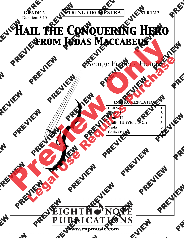

Duration: 3:10

## George Frederic Handel *Hail the Conquering Hero from Judas Maccabeus* **INSTRUMENTATION** GRADE 2 STRING ORCHESTRA PRADE 2 – STRING ORCHES PREVIEW PREVIEW PREVIEW PREVIEW PREVIEW PREVIEW PREVIEW PREVIEW PREVIEW PREVIEW PREVIEW PREVIEW PREVIEW PREVIEW PREVIEW PREVIEW PREVIEW PREVIEW PREVIEW PREVIEW PREVIEW PREVIEW PREVIEW PREVIEW PREVIEW PREVIEW PREVIEW PREVIE PREVIDE PREVIEW PREVIEW PREVIEW PREVIEW PREVIEW PREVIEW PREVIEW PREVIEW PREVIEW PREVIEW PREVIEW PREVIEW PREVIEW PREVIEW PREVIEW PREVIEW PREVIEW PREVIEW PREVIEW PREVIEW PREVIEW PREVIEW PREVIEW PREVIEW PREVIEW PREVIEW PREVIE PREVIEW PREVIEW PREVIEW PREVIEW PREVIEW PREVIEW PREVIEW PREVIEW PREVIEW PREVIEW PREVIEW PREVIEW PREVIEW PREVIEW PREVIEW PREVIEW PREVIEW PREVIEW PREVIEW PREVIEW PREVIEW PREVIEW PREVIEW PREVIEW PREVIEW PREVIEW PREVIEW PREVIE PROM JODAS MALLADEUS HAIL THE CONQUERING HERO<br>
George Freder Landels<br>
George Freder Landels<br>
Consumer PREVIEW PREVIEW PREVIEW PREVIEW PREVIEW PREVIEW PREVIEW PREVIEW PREVIEW PREVIEW PREVIEW PREVIEW PREVIEW PREVIEW PREVIEW PREVIEW PREVIEW PREVI PREVIEW PREVIEW PREVIEW PREVIEW PREVIEW PREVIEW PREVIEW PREVIEW PREVIEW PREVIEW PREVIEW PREVIEW PREVIEW PREVIEW PREVIEW PREVIEW PREVIEW PREVIEW PREVIEW PREVIEW PREVIEW PREVIEW PREVIEW PREVIEW PREVIEW PREVIEW PREVIEW PREVIE COOR PRODUCE PREVIEW PREVIEW PREVIEW PREVIEW PREVIEW PREVIEW PREVIEW PREVIEW PREVIEW PREVIEW PREVIEW PREVIEW PREVIEW PREVIEW PREVIEW PREVIEW PREVIEW PREVIEW PREVIEW PREVIEW PREVIEW PREVIEW PREVIEW PREVIEW PREVIEW PREVIEW P FROM JUDAS MACCABEUS<br>George Freder Handels George Freder Changels of Bandels Corp.

| INSTRUMENTATION                                  |  |
|--------------------------------------------------|--|
| Full Score                                       |  |
| Violm<br>8                                       |  |
| Violin II<br>8<br>Violin III (Viola T.C.)<br>5   |  |
| Viola<br>5                                       |  |
| $\operatorname{Cello}/\operatorname{Bass}$<br>10 |  |
|                                                  |  |
| Rep                                              |  |
| B                                                |  |
|                                                  |  |
|                                                  |  |
|                                                  |  |
|                                                  |  |
|                                                  |  |
|                                                  |  |
|                                                  |  |
|                                                  |  |
| HTHONOTE                                         |  |
|                                                  |  |
| ww.enpmusic.com                                  |  |
|                                                  |  |
|                                                  |  |
|                                                  |  |
|                                                  |  |
|                                                  |  |
|                                                  |  |
|                                                  |  |
|                                                  |  |
|                                                  |  |
|                                                  |  |
|                                                  |  |
|                                                  |  |
|                                                  |  |
|                                                  |  |
|                                                  |  |
|                                                  |  |



**www.enpmusic.com**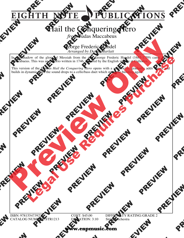## Hail the Conquering Hero

*from* Judas Maccabeus

*Arranged by David Marlatt* George Frederic Handel



CATALOG NUMBER: STR1213

COST: \$45.00 DURATION: 3:10

DIFFICULTY RATING:GRADE 2 String Orchestra

## **www.enpmusic.com**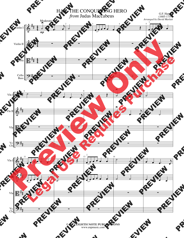

© 2012 **EIGHTH NOTE PUBLICATIONS** www.enpmusic.com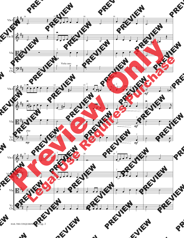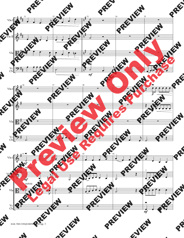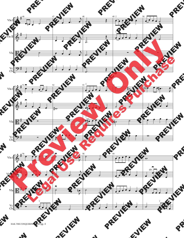